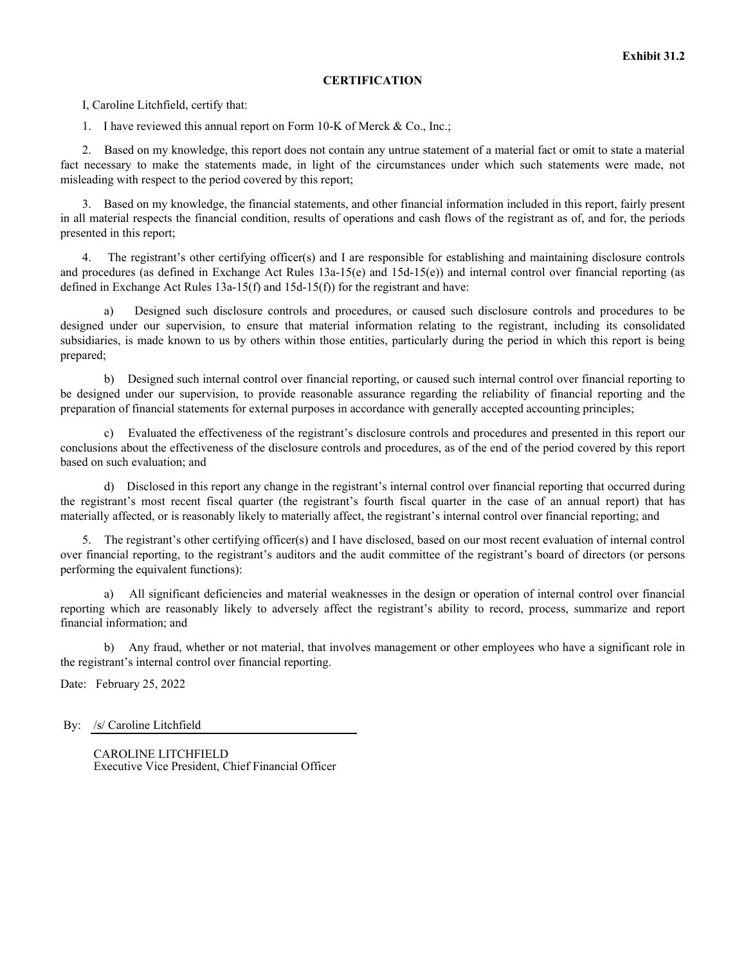## **CERTIFICATION**

I, Caroline Litchfield, certify that:

1. I have reviewed this annual report on Form 10-K of Merck & Co., Inc.;

2. Based on my knowledge, this report does not contain any untrue statement of a material fact or omit to state a material fact necessary to make the statements made, in light of the circumstances under which such statements were made, not misleading with respect to the period covered by this report;

3. Based on my knowledge, the financial statements, and other financial information included in this report, fairly present in all material respects the financial condition, results of operations and cash flows of the registrant as of, and for, the periods presented in this report;

4. The registrant's other certifying officer(s) and I are responsible for establishing and maintaining disclosure controls and procedures (as defined in Exchange Act Rules  $13a-15(e)$  and  $15d-15(e)$ ) and internal control over financial reporting (as defined in Exchange Act Rules 13a-15(f) and 15d-15(f)) for the registrant and have:

a) Designed such disclosure controls and procedures, or caused such disclosure controls and procedures to be designed under our supervision, to ensure that material information relating to the registrant, including its consolidated subsidiaries, is made known to us by others within those entities, particularly during the period in which this report is being prepared;

b) Designed such internal control over financial reporting, or caused such internal control over financial reporting to be designed under our supervision, to provide reasonable assurance regarding the reliability of financial reporting and the preparation of financial statements for external purposes in accordance with generally accepted accounting principles;

c) Evaluated the effectiveness of the registrant's disclosure controls and procedures and presented in this report our conclusions about the effectiveness of the disclosure controls and procedures, as of the end of the period covered by this report based on such evaluation; and

d) Disclosed in this report any change in the registrant's internal control over financial reporting that occurred during the registrant's most recent fiscal quarter (the registrant's fourth fiscal quarter in the case of an annual report) that has materially affected, or is reasonably likely to materially affect, the registrant's internal control over financial reporting; and

5. The registrant's other certifying officer(s) and I have disclosed, based on our most recent evaluation of internal control over financial reporting, to the registrant's auditors and the audit committee of the registrant's board of directors (or persons performing the equivalent functions):

a) All significant deficiencies and material weaknesses in the design or operation of internal control over financial reporting which are reasonably likely to adversely affect the registrant's ability to record, process, summarize and report financial information; and

b) Any fraud, whether or not material, that involves management or other employees who have a significant role in the registrant's internal control over financial reporting.

Date: February 25, 2022

By: /s/ Caroline Litchfield

CAROLINE LITCHFIELD Executive Vice President, Chief Financial Officer